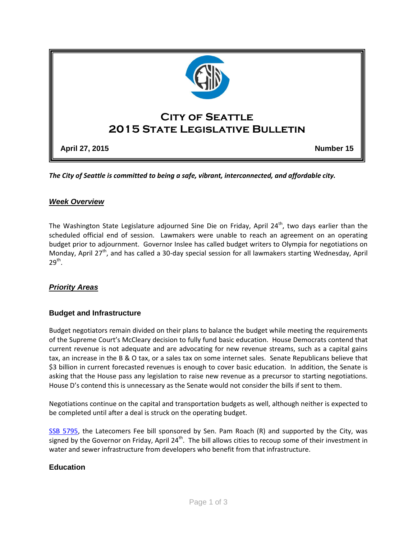

*The City of Seattle is committed to being a safe, vibrant, interconnected, and affordable city.* 

## *Week Overview*

The Washington State Legislature adjourned Sine Die on Friday, April 24<sup>th</sup>, two days earlier than the scheduled official end of session. Lawmakers were unable to reach an agreement on an operating budget prior to adjournment. Governor Inslee has called budget writers to Olympia for negotiations on Monday, April 27<sup>th</sup>, and has called a 30-day special session for all lawmakers starting Wednesday, April  $29<sup>th</sup>$ .

#### *Priority Areas*

#### **Budget and Infrastructure**

Budget negotiators remain divided on their plans to balance the budget while meeting the requirements of the Supreme Court's McCleary decision to fully fund basic education. House Democrats contend that current revenue is not adequate and are advocating for new revenue streams, such as a capital gains tax, an increase in the B & O tax, or a sales tax on some internet sales. Senate Republicans believe that \$3 billion in current forecasted revenues is enough to cover basic education. In addition, the Senate is asking that the House pass any legislation to raise new revenue as a precursor to starting negotiations. House D's contend this is unnecessary as the Senate would not consider the bills if sent to them.

Negotiations continue on the capital and transportation budgets as well, although neither is expected to be completed until after a deal is struck on the operating budget.

[SSB 5795,](http://app.leg.wa.gov/billinfo/summary.aspx?bill=5795&year=2015) the Latecomers Fee bill sponsored by Sen. Pam Roach (R) and supported by the City, was signed by the Governor on Friday, April 24<sup>th</sup>. The bill allows cities to recoup some of their investment in water and sewer infrastructure from developers who benefit from that infrastructure.

#### **Education**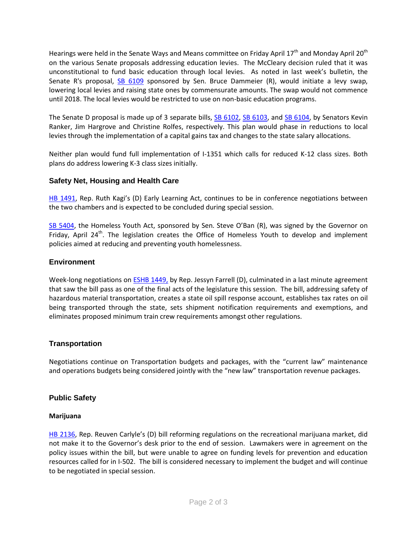Hearings were held in the Senate Ways and Means committee on Friday April 17<sup>th</sup> and Monday April 20<sup>th</sup> on the various Senate proposals addressing education levies. The McCleary decision ruled that it was unconstitutional to fund basic education through local levies. As noted in last week's bulletin, the Senate R's proposal, [SB 6109](http://app.leg.wa.gov/billinfo/summary.aspx?bill=6109&year=2015) sponsored by Sen. Bruce Dammeier (R), would initiate a levy swap, lowering local levies and raising state ones by commensurate amounts. The swap would not commence until 2018. The local levies would be restricted to use on non-basic education programs.

The Senate D proposal is made up of 3 separate bills, **SB 6102, SB 6103**, and [SB 6104,](http://app.leg.wa.gov/billinfo/summary.aspx?bill=6104&year=2015) by Senators Kevin Ranker, Jim Hargrove and Christine Rolfes, respectively. This plan would phase in reductions to local levies through the implementation of a capital gains tax and changes to the state salary allocations.

Neither plan would fund full implementation of I-1351 which calls for reduced K-12 class sizes. Both plans do address lowering K-3 class sizes initially.

#### **Safety Net, Housing and Health Care**

[HB 1491](http://app.leg.wa.gov/billinfo/summary.aspx?bill=1491&year=2015), Rep. Ruth Kagi's (D) Early Learning Act, continues to be in conference negotiations between the two chambers and is expected to be concluded during special session.

[SB 5404,](http://app.leg.wa.gov/billinfo/summary.aspx?bill=5404&year=2015) the Homeless Youth Act, sponsored by Sen. Steve O'Ban (R), was signed by the Governor on Friday, April  $24<sup>th</sup>$ . The legislation creates the Office of Homeless Youth to develop and implement policies aimed at reducing and preventing youth homelessness.

## **Environment**

Week-long negotiations on [ESHB 1449,](http://app.leg.wa.gov/billinfo/summary.aspx?bill=1449&year=2015) by Rep. Jessyn Farrell (D), culminated in a last minute agreement that saw the bill pass as one of the final acts of the legislature this session. The bill, addressing safety of hazardous material transportation, creates a state oil spill response account, establishes tax rates on oil being transported through the state, sets shipment notification requirements and exemptions, and eliminates proposed minimum train crew requirements amongst other regulations.

# **Transportation**

Negotiations continue on Transportation budgets and packages, with the "current law" maintenance and operations budgets being considered jointly with the "new law" transportation revenue packages.

#### **Public Safety**

#### **Marijuana**

[HB 2136](http://app.leg.wa.gov/billinfo/summary.aspx?bill=2136&year=2015), Rep. Reuven Carlyle's (D) bill reforming regulations on the recreational marijuana market, did not make it to the Governor's desk prior to the end of session. Lawmakers were in agreement on the policy issues within the bill, but were unable to agree on funding levels for prevention and education resources called for in I-502. The bill is considered necessary to implement the budget and will continue to be negotiated in special session.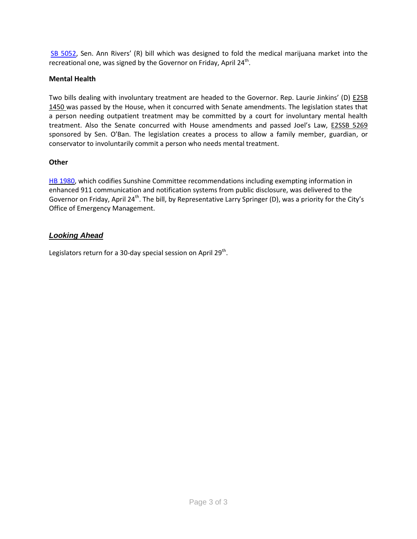[SB 5052,](http://apps.leg.wa.gov/billinfo/summary.aspx?bill=5052&year=2015) Sen. Ann Rivers' (R) bill which was designed to fold the medical marijuana market into the recreational one, was signed by the Governor on Friday, April 24<sup>th</sup>.

## **Mental Health**

Two bills dealing with involuntary treatment are headed to the Governor. Rep. Laurie Jinkins' (D) [E2SB](http://app.leg.wa.gov/billinfo/summary.aspx?bill=1450&year=2015)  [1450 w](http://app.leg.wa.gov/billinfo/summary.aspx?bill=1450&year=2015)as passed by the House, when it concurred with Senate amendments. The legislation states that a person needing outpatient treatment may be committed by a court for involuntary mental health treatment. Also the Senate concurred with House amendments and passed Joel's Law, [E2SSB 5269](http://app.leg.wa.gov/billinfo/summary.aspx?bill=5269&year=2015) sponsored by Sen. O'Ban. The legislation creates a process to allow a family member, guardian, or conservator to involuntarily commit a person who needs mental treatment.

#### **Other**

HB [1980,](http://apps.leg.wa.gov/billinfo/summary.aspx?bill=1980&year=2015) which codifies Sunshine Committee recommendations including exempting information in enhanced 911 communication and notification systems from public disclosure, was delivered to the Governor on Friday, April 24<sup>th</sup>. The bill, by Representative Larry Springer (D), was a priority for the City's Office of Emergency Management.

# *Looking Ahead*

Legislators return for a 30-day special session on April 29<sup>th</sup>.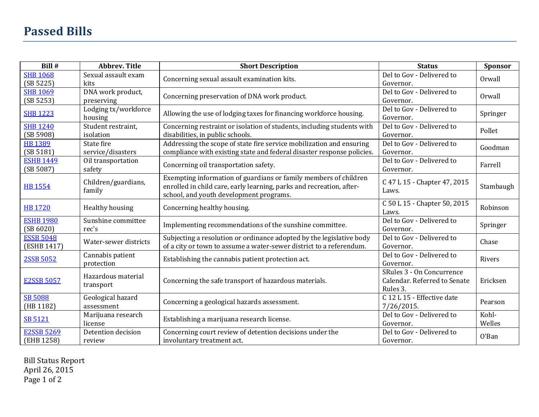# **Passed Bills**

| Bill #                          | <b>Abbrev. Title</b>            | <b>Short Description</b>                                                                                                                                                            | <b>Status</b>                                                         | Sponsor         |
|---------------------------------|---------------------------------|-------------------------------------------------------------------------------------------------------------------------------------------------------------------------------------|-----------------------------------------------------------------------|-----------------|
| <b>SHB 1068</b><br>(SB 5225)    | Sexual assault exam<br>kits     | Concerning sexual assault examination kits.                                                                                                                                         | Del to Gov - Delivered to<br>Governor.                                | Orwall          |
| <b>SHB 1069</b><br>(SB 5253)    | DNA work product,<br>preserving | Concerning preservation of DNA work product.                                                                                                                                        | Del to Gov - Delivered to<br>Governor.                                | Orwall          |
| <b>SHB 1223</b>                 | Lodging tx/workforce<br>housing | Allowing the use of lodging taxes for financing workforce housing.                                                                                                                  | Del to Gov - Delivered to<br>Governor.                                | Springer        |
| <b>SHB 1240</b><br>(SB 5908)    | Student restraint,<br>isolation | Concerning restraint or isolation of students, including students with<br>disabilities, in public schools.                                                                          | Del to Gov - Delivered to<br>Governor.                                | Pollet          |
| <b>HB 1389</b><br>(SB 5181)     | State fire<br>service/disasters | Addressing the scope of state fire service mobilization and ensuring<br>compliance with existing state and federal disaster response policies.                                      | Del to Gov - Delivered to<br>Governor.                                | Goodman         |
| <b>ESHB 1449</b><br>(SB 5087)   | Oil transportation<br>safety    | Concerning oil transportation safety.                                                                                                                                               | Del to Gov - Delivered to<br>Governor.                                | Farrell         |
| <b>HB 1554</b>                  | Children/guardians,<br>family   | Exempting information of guardians or family members of children<br>enrolled in child care, early learning, parks and recreation, after-<br>school, and youth development programs. | C 47 L 15 - Chapter 47, 2015<br>Laws.                                 | Stambaugh       |
| <b>HB 1720</b>                  | Healthy housing                 | Concerning healthy housing.                                                                                                                                                         | C 50 L 15 - Chapter 50, 2015<br>Laws.                                 | Robinson        |
| <b>ESHB 1980</b><br>(SB 6020)   | Sunshine committee<br>rec's     | Implementing recommendations of the sunshine committee.                                                                                                                             | Del to Gov - Delivered to<br>Governor.                                | Springer        |
| <b>ESSB 5048</b><br>(ESHB 1417) | Water-sewer districts           | Subjecting a resolution or ordinance adopted by the legislative body<br>of a city or town to assume a water-sewer district to a referendum.                                         | Del to Gov - Delivered to<br>Governor.                                | Chase           |
| 2SSB 5052                       | Cannabis patient<br>protection  | Establishing the cannabis patient protection act.                                                                                                                                   | Del to Gov - Delivered to<br>Governor.                                | Rivers          |
| <b>E2SSB 5057</b>               | Hazardous material<br>transport | Concerning the safe transport of hazardous materials.                                                                                                                               | SRules 3 - On Concurrence<br>Calendar. Referred to Senate<br>Rules 3. | Ericksen        |
| <b>SB 5088</b><br>(HB 1182)     | Geological hazard<br>assessment | Concerning a geological hazards assessment.                                                                                                                                         | C 12 L 15 - Effective date<br>7/26/2015.                              | Pearson         |
| SB 5121                         | Marijuana research<br>license   | Establishing a marijuana research license.                                                                                                                                          | Del to Gov - Delivered to<br>Governor.                                | Kohl-<br>Welles |
| <b>E2SSB 5269</b><br>(EHB 1258) | Detention decision<br>review    | Concerning court review of detention decisions under the<br>involuntary treatment act.                                                                                              | Del to Gov - Delivered to<br>Governor.                                | 0'Ban           |

Bill Status Report April 26, 2015 Page 1 of 2